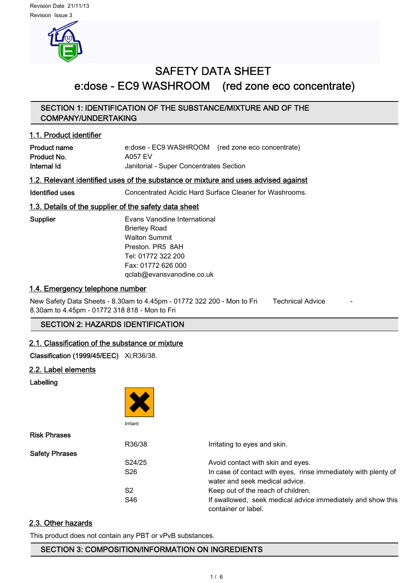

# SAFETY DATA SHEET e:dose - EC9 WASHROOM (red zone eco concentrate)

# SECTION 1: IDENTIFICATION OF THE SUBSTANCE/MIXTURE AND OF THE COMPANY/UNDERTAKING

# 1.1. Product identifier

| <b>Product name</b> | e:dose - EC9 WASHROOM (red zone eco concentrate) |  |
|---------------------|--------------------------------------------------|--|
| Product No.         | A057 EV                                          |  |
| Internal Id         | Janitorial - Super Concentrates Section          |  |

# 1.2. Relevant identified uses of the substance or mixture and uses advised against

Identified uses Concentrated Acidic Hard Surface Cleaner for Washrooms.

# 1.3. Details of the supplier of the safety data sheet

Supplier **Evans Vanodine International** Brierley Road Walton Summit Preston. PR5 8AH Tel: 01772 322 200 Fax: 01772 626 000 qclab@evansvanodine.co.uk

# 1.4. Emergency telephone number

New Safety Data Sheets - 8.30am to 4.45pm - 01772 322 200 - Mon to Fri Technical Advice 8.30am to 4.45pm - 01772 318 818 - Mon to Fri

# SECTION 2: HAZARDS IDENTIFICATION

# 2.1. Classification of the substance or mixture

Classification (1999/45/EEC) Xi;R36/38.

# 2.2. Label elements

Labelling



Ris

Saf

|                 | Irritating to eyes and skin.                                                                     |
|-----------------|--------------------------------------------------------------------------------------------------|
|                 |                                                                                                  |
|                 | Avoid contact with skin and eyes.                                                                |
| S <sub>26</sub> | In case of contact with eyes, rinse immediately with plenty of<br>water and seek medical advice. |
| S2              | Keep out of the reach of children.                                                               |
| S46             | If swallowed, seek medical advice immediately and show this<br>container or label.               |
|                 | R36/38<br>S24/25                                                                                 |

# 2.3. Other hazards

This product does not contain any PBT or vPvB substances.

# SECTION 3: COMPOSITION/INFORMATION ON INGREDIENTS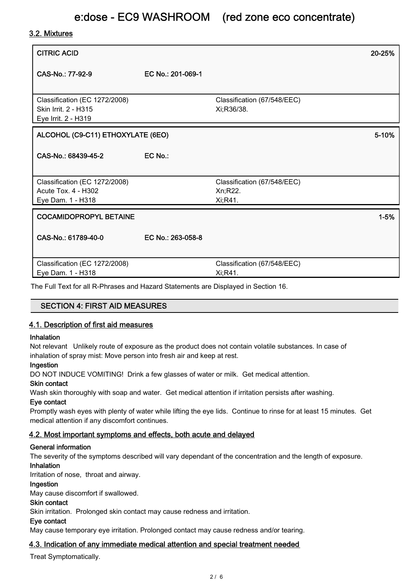# 3.2. Mixtures

| <b>CITRIC ACID</b>                                                                  |                   |                                                    | 20-25%   |
|-------------------------------------------------------------------------------------|-------------------|----------------------------------------------------|----------|
| CAS-No.: 77-92-9                                                                    | EC No.: 201-069-1 |                                                    |          |
| Classification (EC 1272/2008)<br><b>Skin Irrit. 2 - H315</b><br>Eye Irrit. 2 - H319 |                   | Classification (67/548/EEC)<br>Xi;R36/38.          |          |
| ALCOHOL (C9-C11) ETHOXYLATE (6EO)                                                   |                   |                                                    | 5-10%    |
| CAS-No.: 68439-45-2                                                                 | EC No.:           |                                                    |          |
| Classification (EC 1272/2008)<br><b>Acute Tox. 4 - H302</b><br>Eye Dam. 1 - H318    |                   | Classification (67/548/EEC)<br>Xn;R22.<br>Xi;R41.  |          |
| <b>COCAMIDOPROPYL BETAINE</b>                                                       |                   |                                                    | $1 - 5%$ |
| CAS-No.: 61789-40-0                                                                 | EC No.: 263-058-8 |                                                    |          |
| Classification (EC 1272/2008)<br>Eye Dam. 1 - H318<br>TI FUT 10 UPD 111 1011        |                   | Classification (67/548/EEC)<br>Xi;R41.<br><u>.</u> |          |

The Full Text for all R-Phrases and Hazard Statements are Displayed in Section 16.

# SECTION 4: FIRST AID MEASURES

# 4.1. Description of first aid measures

#### Inhalation

Not relevant Unlikely route of exposure as the product does not contain volatile substances. In case of inhalation of spray mist: Move person into fresh air and keep at rest.

#### Ingestion

DO NOT INDUCE VOMITING! Drink a few glasses of water or milk. Get medical attention.

# Skin contact

Wash skin thoroughly with soap and water. Get medical attention if irritation persists after washing.

#### Eye contact

Promptly wash eyes with plenty of water while lifting the eye lids. Continue to rinse for at least 15 minutes. Get medical attention if any discomfort continues.

# 4.2. Most important symptoms and effects, both acute and delayed

#### General information

The severity of the symptoms described will vary dependant of the concentration and the length of exposure.

#### Inhalation

Irritation of nose, throat and airway.

# Ingestion

May cause discomfort if swallowed.

#### Skin contact

Skin irritation. Prolonged skin contact may cause redness and irritation.

#### Eye contact

May cause temporary eye irritation. Prolonged contact may cause redness and/or tearing.

# 4.3. Indication of any immediate medical attention and special treatment needed

Treat Symptomatically.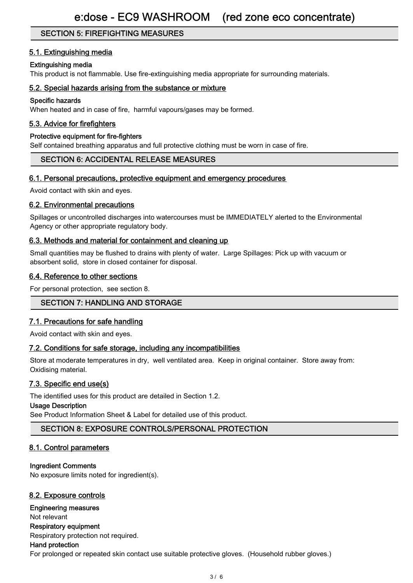# SECTION 5: FIREFIGHTING MEASURES

# 5.1. Extinguishing media

## Extinguishing media

This product is not flammable. Use fire-extinguishing media appropriate for surrounding materials.

## 5.2. Special hazards arising from the substance or mixture

### Specific hazards

When heated and in case of fire, harmful vapours/gases may be formed.

# 5.3. Advice for firefighters

#### Protective equipment for fire-fighters

Self contained breathing apparatus and full protective clothing must be worn in case of fire.

# SECTION 6: ACCIDENTAL RELEASE MEASURES

# 6.1. Personal precautions, protective equipment and emergency procedures

Avoid contact with skin and eyes.

# 6.2. Environmental precautions

Spillages or uncontrolled discharges into watercourses must be IMMEDIATELY alerted to the Environmental Agency or other appropriate regulatory body.

# 6.3. Methods and material for containment and cleaning up

Small quantities may be flushed to drains with plenty of water. Large Spillages: Pick up with vacuum or absorbent solid, store in closed container for disposal.

# 6.4. Reference to other sections

For personal protection, see section 8.

# SECTION 7: HANDLING AND STORAGE

# 7.1. Precautions for safe handling

Avoid contact with skin and eyes.

# 7.2. Conditions for safe storage, including any incompatibilities

Store at moderate temperatures in dry, well ventilated area. Keep in original container. Store away from: Oxidising material.

# 7.3. Specific end use(s)

The identified uses for this product are detailed in Section 1.2.

#### Usage Description

See Product Information Sheet & Label for detailed use of this product.

# SECTION 8: EXPOSURE CONTROLS/PERSONAL PROTECTION

# 8.1. Control parameters

#### Ingredient Comments

No exposure limits noted for ingredient(s).

# 8.2. Exposure controls

#### Engineering measures

Not relevant

#### Respiratory equipment

Respiratory protection not required.

# Hand protection

For prolonged or repeated skin contact use suitable protective gloves. (Household rubber gloves.)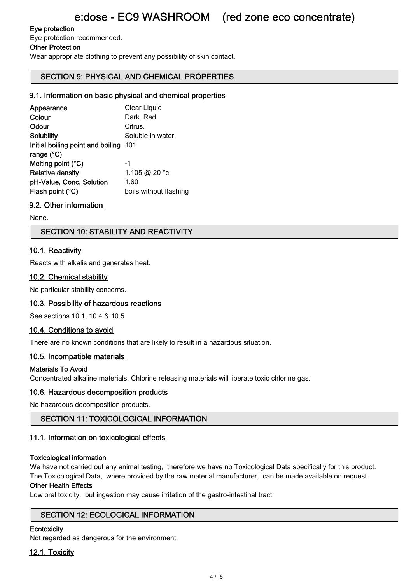# Eye protection

Eye protection recommended.

## Other Protection

Wear appropriate clothing to prevent any possibility of skin contact.

# SECTION 9: PHYSICAL AND CHEMICAL PROPERTIES

# 9.1. Information on basic physical and chemical properties

| Clear Liquid                             |
|------------------------------------------|
| Dark, Red.                               |
| Citrus.                                  |
| Soluble in water.                        |
| Initial boiling point and boiling<br>101 |
|                                          |
| -1                                       |
| 1.105 @ 20 °c                            |
| 1.60                                     |
| boils without flashing                   |
|                                          |

# 9.2. Other information

None.

# SECTION 10: STABILITY AND REACTIVITY

# 10.1. Reactivity

Reacts with alkalis and generates heat.

# 10.2. Chemical stability

No particular stability concerns.

# 10.3. Possibility of hazardous reactions

See sections 10.1, 10.4 & 10.5

# 10.4. Conditions to avoid

There are no known conditions that are likely to result in a hazardous situation.

# 10.5. Incompatible materials

# Materials To Avoid

Concentrated alkaline materials. Chlorine releasing materials will liberate toxic chlorine gas.

# 10.6. Hazardous decomposition products

No hazardous decomposition products.

# SECTION 11: TOXICOLOGICAL INFORMATION

# 11.1. Information on toxicological effects

#### Toxicological information

We have not carried out any animal testing, therefore we have no Toxicological Data specifically for this product. The Toxicological Data, where provided by the raw material manufacturer, can be made available on request.

#### Other Health Effects

Low oral toxicity, but ingestion may cause irritation of the gastro-intestinal tract.

# SECTION 12: ECOLOGICAL INFORMATION

#### **Ecotoxicity**

Not regarded as dangerous for the environment.

# 12.1. Toxicity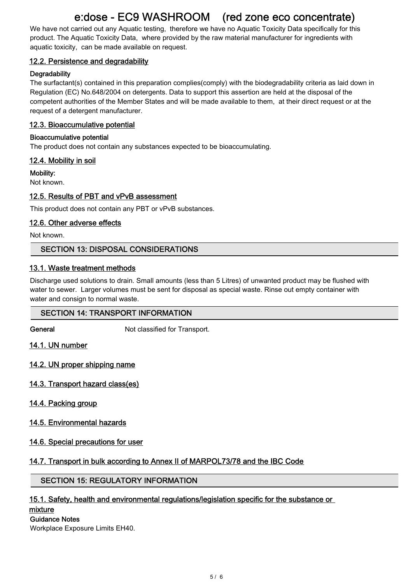# e:dose - EC9 WASHROOM (red zone eco concentrate)

We have not carried out any Aquatic testing, therefore we have no Aquatic Toxicity Data specifically for this product. The Aquatic Toxicity Data, where provided by the raw material manufacturer for ingredients with aquatic toxicity, can be made available on request.

# 12.2. Persistence and degradability

# **Degradability**

The surfactant(s) contained in this preparation complies(comply) with the biodegradability criteria as laid down in Regulation (EC) No.648/2004 on detergents. Data to support this assertion are held at the disposal of the competent authorities of the Member States and will be made available to them, at their direct request or at the request of a detergent manufacturer.

# 12.3. Bioaccumulative potential

# Bioaccumulative potential

The product does not contain any substances expected to be bioaccumulating.

# 12.4. Mobility in soil

Mobility:

Not known.

# 12.5. Results of PBT and vPvB assessment

This product does not contain any PBT or vPvB substances.

# 12.6. Other adverse effects

Not known.

# SECTION 13: DISPOSAL CONSIDERATIONS

# 13.1. Waste treatment methods

Discharge used solutions to drain. Small amounts (less than 5 Litres) of unwanted product may be flushed with water to sewer. Larger volumes must be sent for disposal as special waste. Rinse out empty container with water and consign to normal waste.

# SECTION 14: TRANSPORT INFORMATION

General **General** Not classified for Transport.

14.1. UN number

14.2. UN proper shipping name

- 14.3. Transport hazard class(es)
- 14.4. Packing group

# 14.5. Environmental hazards

# 14.6. Special precautions for user

# 14.7. Transport in bulk according to Annex II of MARPOL73/78 and the IBC Code

# SECTION 15: REGULATORY INFORMATION

# 15.1. Safety, health and environmental regulations/legislation specific for the substance or

#### mixture

#### Guidance Notes

Workplace Exposure Limits EH40.